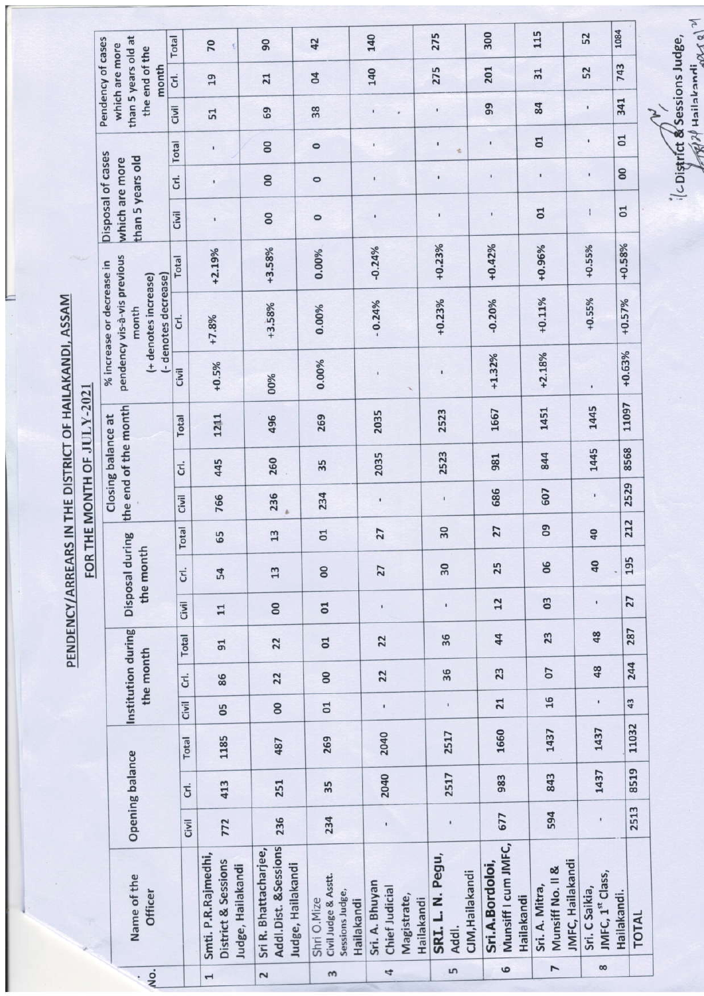PENDENCY/ARREARS IN THE DISTRICT OF HAILAKANDI, ASSAM

1084 115 275 300 140 52 Total than 5 years old at Pendency of cases 42  $90$ which are more 70 the end of the 743 140 275 201 Crl. month  $31$ 52 19  $\overline{a}$ 21 341 Civil 99 84 f, 38 69 ï 51  $\overline{01}$  $\overline{a}$  $\ddot{\phantom{0}}$ Total ï  $\infty$ ï ï  $\circ$ Disposal of cases than 5 years old which are more 8 ï ï Crl.  $\overline{0}$  $\circ$ ï  $\overline{01}$ Civil  $\overline{a}$  $\mathbf{I}$ ï  $\overline{0}$  $\circ$  $+0.23%$  $+0.42%$  $+0.55%$  $+0.58%$  $+0.96%$  $-0.24%$  $+3.58%$  $+2.19%$ 0.00% pendency vis-à-vis previous Total % increase or decrease in (+ denotes increase) (- denotes decrease)  $+0.11\%$  $+0.55%$  $+0.23%$  $-0.20%$  $+0.57%$  $-0.24%$ +3.58% 0.00% month Crl.  $+7.8%$  $+0.63%$  $+2.18%$  $+1.32\%$ 0.00%  $+0.5%$ Civil 00% 11097 the end of the month 1451 1445 1667 2035 2523 269 Closing balance at 1211 496 Total 1445 8568 2035 2523 844 981 260 445 35 G. 2529 607 686 236 234 Civil 766 ï  $\ddot{\phantom{0}}$ ï 212 Total  $\overline{0}$ 27  $30$  $13$  $\overline{01}$ 27  $40$ Disposal during 65 the month 195 06  $\overline{a}$ 25  $\infty$ 27  $30$ Crl.  $13$ 54 27  $\overline{0}$  $12$ Civil  $\overline{0}$ ¥ 8 i,  $11$ Institution during 287 48 Total 36 23 44 22  $22$  $\overline{0}$  $91$ the month 244 48 36 07 23  $\overline{8}$  $22$ 22 Crl. 86  $16$ Civil 43  $21$ ï 8  $\overline{c}$ 05 11032 1437 1660 1437 2040 2517 Total 269 1185 487 Opening balance 8519 1437 2040 2517 843 983 251 413 35 Cτ. 2513 594 677 236 Civil 772 234  $\mathbf i$ ī Munsiff I cum JMFC, Addl.Dist. &Sessions Sri R. Bhattacharjee, Smti. P.R.Rajmedhi, SRI. L. N. Pegu, **District & Sessions JMFC, Hailakandi** Judge, Hailakandi Sri.A.Bordoloi, Judge, Hailakandi Munsiff No. II & CJM, Hailakandi JMFC, 1st Class, Name of the Civil Judge & Asstt. Sri. A. Bhuyan Sri. A. Mitra, Chief Judicial Sri. C Saikia, Officer Sessions Judge, Hailakandi. Magistrate, Hailakandi Shri O.Mize Hailakandi Hailakandi **TOTAL** Addl.  $\overline{ }$  $\infty$  $\epsilon$ Ln  $\frac{1}{2}$  $\ddot{a}$  $\sim$  $\omega$  $\overline{ }$ 

FOR THE MONTH OF JULY-2021

 $\mathbb{Z}_{\mathbb{R}}$ CDistrict & Sessions Judge,